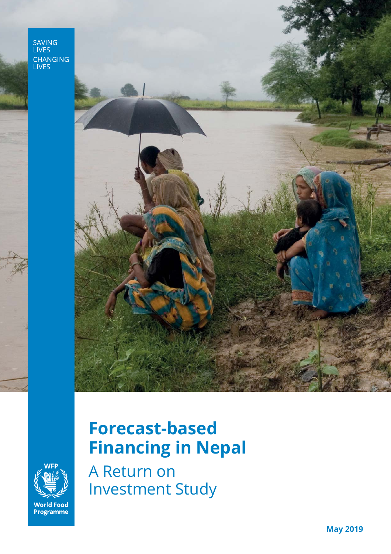SAVING<br>LIVES CHANGING<br>LIVES



# **Forecast-based Financing in Nepal**

**World Food<br>Programme** 

A Return on Investment Study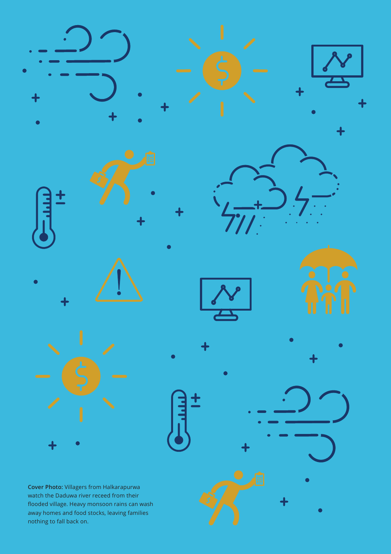











away homes and food stocks, leaving families nothing to fall back on.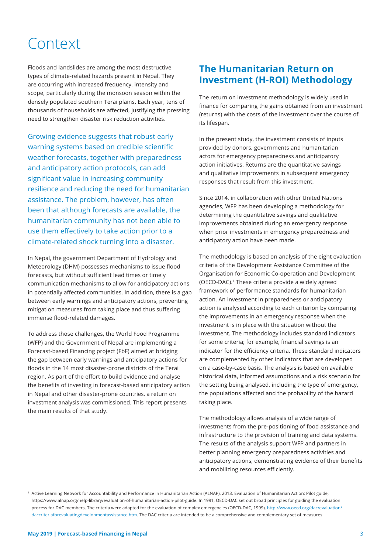## Context

Floods and landslides are among the most destructive types of climate-related hazards present in Nepal. They are occurring with increased frequency, intensity and scope, particularly during the monsoon season within the densely populated southern Terai plains. Each year, tens of thousands of households are affected, justifying the pressing need to strengthen disaster risk reduction activities.

Growing evidence suggests that robust early warning systems based on credible scientific weather forecasts, together with preparedness and anticipatory action protocols, can add significant value in increasing community resilience and reducing the need for humanitarian assistance. The problem, however, has often been that although forecasts are available, the humanitarian community has not been able to use them effectively to take action prior to a climate-related shock turning into a disaster.

In Nepal, the government Department of Hydrology and Meteorology (DHM) possesses mechanisms to issue flood forecasts, but without sufficient lead times or timely communication mechanisms to allow for anticipatory actions in potentially affected communities. In addition, there is a gap between early warnings and anticipatory actions, preventing mitigation measures from taking place and thus suffering immense flood-related damages.

To address those challenges, the World Food Programme (WFP) and the Government of Nepal are implementing a Forecast-based Financing project (FbF) aimed at bridging the gap between early warnings and anticipatory actions for floods in the 14 most disaster-prone districts of the Terai region. As part of the effort to build evidence and analyse the benefits of investing in forecast-based anticipatory action in Nepal and other disaster-prone countries, a return on investment analysis was commissioned. This report presents the main results of that study.

## **The Humanitarian Return on Investment (H-ROI) Methodology**

The return on investment methodology is widely used in finance for comparing the gains obtained from an investment (returns) with the costs of the investment over the course of its lifespan.

In the present study, the investment consists of inputs provided by donors, governments and humanitarian actors for emergency preparedness and anticipatory action initiatives. Returns are the quantitative savings and qualitative improvements in subsequent emergency responses that result from this investment.

Since 2014, in collaboration with other United Nations agencies, WFP has been developing a methodology for determining the quantitative savings and qualitative improvements obtained during an emergency response when prior investments in emergency preparedness and anticipatory action have been made.

The methodology is based on analysis of the eight evaluation criteria of the Development Assistance Committee of the Organisation for Economic Co-operation and Development (OECD-DAC).1 These criteria provide a widely agreed framework of performance standards for humanitarian action. An investment in preparedness or anticipatory action is analysed according to each criterion by comparing the improvements in an emergency response when the investment is in place with the situation without the investment. The methodology includes standard indicators for some criteria; for example, financial savings is an indicator for the efficiency criteria. These standard indicators are complemented by other indicators that are developed on a case-by-case basis. The analysis is based on available historical data, informed assumptions and a risk scenario for the setting being analysed, including the type of emergency, the populations affected and the probability of the hazard taking place.

The methodology allows analysis of a wide range of investments from the pre-positioning of food assistance and infrastructure to the provision of training and data systems. The results of the analysis support WFP and partners in better planning emergency preparedness activities and anticipatory actions, demonstrating evidence of their benefits and mobilizing resources efficiently.

<sup>1</sup> Active Learning Network for Accountability and Performance in Humanitarian Action (ALNAP). 2013. Evaluation of Humanitarian Action: Pilot guide, https://www.alnap.org/help-library/evaluation-of-humanitarian-action-pilot-guide. In 1991, OECD-DAC set out broad principles for guiding the evaluation process for DAC members. The criteria were adapted for the evaluation of complex emergencies (OECD-DAC, 1999). http://www.oecd.org/dac/evaluation/ daccriteriaforevaluatingdevelopmentassistance.htm. The DAC criteria are intended to be a comprehensive and complementary set of measures.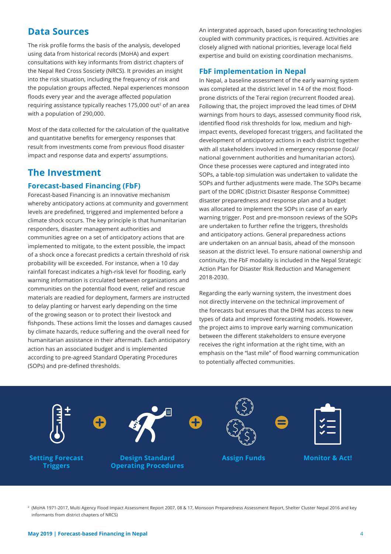### **Data Sources**

The risk profile forms the basis of the analysis, developed using data from historical records (MoHA) and expert consultations with key informants from district chapters of the Nepal Red Cross Sosciety (NRCS). It provides an insight into the risk situation, including the frequency of risk and the population groups affected. Nepal experiences monsoon floods every year and the average affected population requiring assistance typically reaches 175,000 out<sup>2</sup> of an area with a population of 290,000.

Most of the data collected for the calculation of the qualitative and quantitative benefits for emergency responses that result from investments come from previous flood disaster impact and response data and experts' assumptions.

## **The Investment**

#### **Forecast-based Financing (FbF)**

Forecast-based Financing is an innovative mechanism whereby anticipatory actions at community and government levels are predefined, triggered and implemented before a climate shock occurs. The key principle is that humanitarian responders, disaster management authorities and communities agree on a set of anticipatory actions that are implemented to mitigate, to the extent possible, the impact of a shock once a forecast predicts a certain threshold of risk probability will be exceeded. For instance, when a 10 day rainfall forecast indicates a high-risk level for flooding, early warning information is circulated between organizations and communities on the potential flood event, relief and rescue materials are readied for deployment, farmers are instructed to delay planting or harvest early depending on the time of the growing season or to protect their livestock and fishponds. These actions limit the losses and damages caused by climate hazards, reduce suffering and the overall need for humanitarian assistance in their aftermath. Each anticipatory action has an associated budget and is implemented according to pre-agreed Standard Operating Procedures (SOPs) and pre-defined thresholds.

An intergrated approach, based upon forecasting technologies coupled with community practices, is required. Activities are closely aligned with national priorities, leverage local field expertise and build on existing coordination mechanisms.

#### **FbF implementation in Nepal**

In Nepal, a baseline assessment of the early warning system was completed at the district level in 14 of the most floodprone districts of the Terai region (recurrent flooded area). Following that, the project improved the lead times of DHM warnings from hours to days, assessed community flood risk, identified flood risk thresholds for low, medium and highimpact events, developed forecast triggers, and facilitated the development of anticipatory actions in each district together with all stakeholders involved in emergency response (local/ national government authorities and humanitarian actors). Once these processes were captured and integrated into SOPs, a table-top simulation was undertaken to validate the SOPs and further adjustments were made. The SOPs became part of the DDRC (District Disaster Response Committee) disaster preparedness and response plan and a budget was allocated to implement the SOPs in case of an early warning trigger. Post and pre-monsoon reviews of the SOPs are undertaken to further refine the triggers, thresholds and anticipatory actions. General preparedness actions are undertaken on an annual basis, ahead of the monsoon season at the district level. To ensure national ownership and continuity, the FbF modality is included in the Nepal Strategic Action Plan for Disaster Risk Reduction and Management 2018-2030.

Regarding the early warning system, the investment does not directly intervene on the technical improvement of the forecasts but ensures that the DHM has access to new types of data and improved forecasting models. However, the project aims to improve early warning communication between the different stakeholders to ensure everyone receives the right information at the right time, with an emphasis on the "last mile" of flood warning communication to potentially affected communities.



2 (MoHA 1971-2017, Multi Agency Flood Impact Assessment Report 2007, 08 & 17, Monsoon Preparedness Assessment Report, Shelter Cluster Nepal 2016 and key informants from district chapters of NRCS)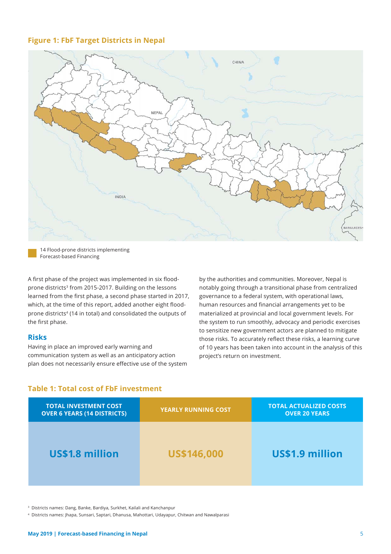#### **Figure 1: FbF Target Districts in Nepal**



14 Flood-prone districts implementing Forecast-based Financing

A first phase of the project was implemented in six floodprone districts<sup>3</sup> from 2015-2017. Building on the lessons learned from the first phase, a second phase started in 2017, which, at the time of this report, added another eight floodprone districts<sup>4</sup> (14 in total) and consolidated the outputs of the first phase.

#### **Risks**

Having in place an improved early warning and communication system as well as an anticipatory action plan does not necessarily ensure effective use of the system by the authorities and communities. Moreover, Nepal is notably going through a transitional phase from centralized governance to a federal system, with operational laws, human resources and financial arrangements yet to be materialized at provincial and local government levels. For the system to run smoothly, advocacy and periodic exercises to sensitize new government actors are planned to mitigate those risks. To accurately reflect these risks, a learning curve of 10 years has been taken into account in the analysis of this project's return on investment.

#### **Table 1: Total cost of FbF investment**

| <b>TOTAL INVESTMENT COST</b><br><b>OVER 6 YEARS (14 DISTRICTS)</b> | <b>YEARLY RUNNING COST</b> | <b>TOTAL ACTUALIZED COSTS</b><br><b>OVER 20 YEARS</b> |
|--------------------------------------------------------------------|----------------------------|-------------------------------------------------------|
| US\$1.8 million                                                    | <b>US\$146,000</b>         | US\$1.9 million                                       |

3 Districts names: Dang, Banke, Bardiya, Surkhet, Kailali and Kanchanpur

4 Districts names: Jhapa, Sunsari, Saptari, Dhanusa, Mahottari, Udayapur, Chitwan and Nawalparasi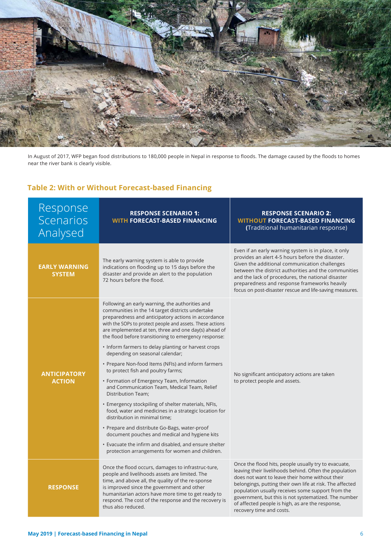

In August of 2017, WFP began food distributions to 180,000 people in Nepal in response to floods. The damage caused by the floods to homes near the river bank is clearly visible.

### **Table 2: With or Without Forecast-based Financing**

| Response<br>Scenarios<br>Analysed     | <b>RESPONSE SCENARIO 1:</b><br><b>WITH FORECAST-BASED FINANCING</b>                                                                                                                                                                                                                                                                                                                                                                                                                                                                                                                                                                                                                                                                                                                                                                                                                                                                                                                                                 | <b>RESPONSE SCENARIO 2:</b><br><b>WITHOUT FORECAST-BASED FINANCING</b><br>(Traditional humanitarian response)                                                                                                                                                                                                                                                                                                              |  |  |
|---------------------------------------|---------------------------------------------------------------------------------------------------------------------------------------------------------------------------------------------------------------------------------------------------------------------------------------------------------------------------------------------------------------------------------------------------------------------------------------------------------------------------------------------------------------------------------------------------------------------------------------------------------------------------------------------------------------------------------------------------------------------------------------------------------------------------------------------------------------------------------------------------------------------------------------------------------------------------------------------------------------------------------------------------------------------|----------------------------------------------------------------------------------------------------------------------------------------------------------------------------------------------------------------------------------------------------------------------------------------------------------------------------------------------------------------------------------------------------------------------------|--|--|
| <b>EARLY WARNING</b><br><b>SYSTEM</b> | The early warning system is able to provide<br>indications on flooding up to 15 days before the<br>disaster and provide an alert to the population<br>72 hours before the flood.                                                                                                                                                                                                                                                                                                                                                                                                                                                                                                                                                                                                                                                                                                                                                                                                                                    | Even if an early warning system is in place, it only<br>provides an alert 4-5 hours before the disaster.<br>Given the additional communication challenges<br>between the district authorities and the communities<br>and the lack of procedures, the national disaster<br>preparedness and response frameworks heavily<br>focus on post-disaster rescue and life-saving measures.                                          |  |  |
| <b>ANTICIPATORY</b><br><b>ACTION</b>  | Following an early warning, the authorities and<br>communities in the 14 target districts undertake<br>preparedness and anticipatory actions in accordance<br>with the SOPs to protect people and assets. These actions<br>are implemented at ten, three and one day(s) ahead of<br>the flood before transitioning to emergency response:<br>• Inform farmers to delay planting or harvest crops<br>depending on seasonal calendar;<br>• Prepare Non-food Items (NFIs) and inform farmers<br>to protect fish and poultry farms;<br>• Formation of Emergency Team, Information<br>and Communication Team, Medical Team, Relief<br>Distribution Team;<br>• Emergency stockpiling of shelter materials, NFIs,<br>food, water and medicines in a strategic location for<br>distribution in minimal time;<br>• Prepare and distribute Go-Bags, water-proof<br>document pouches and medical and hygiene kits<br>• Evacuate the infirm and disabled, and ensure shelter<br>protection arrangements for women and children. | No significant anticipatory actions are taken<br>to protect people and assets.                                                                                                                                                                                                                                                                                                                                             |  |  |
| <b>RESPONSE</b>                       | Once the flood occurs, damages to infrastruc-ture,<br>people and livelihoods assets are limited. The<br>time, and above all, the quality of the re-sponse<br>is improved since the government and other<br>humanitarian actors have more time to get ready to<br>respond. The cost of the response and the recovery is<br>thus also reduced.                                                                                                                                                                                                                                                                                                                                                                                                                                                                                                                                                                                                                                                                        | Once the flood hits, people usually try to evacuate,<br>leaving their livelihoods behind. Often the population<br>does not want to leave their home without their<br>belongings, putting their own life at risk. The affected<br>population usually receives some support from the<br>government, but this is not systematized. The number<br>of affected people is high, as are the response,<br>recovery time and costs. |  |  |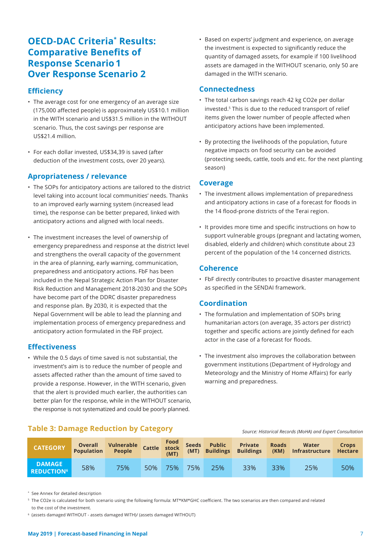## **OECD-DAC Criteria\* Results: Comparative Benefits of Response Scenario 1 Over Response Scenario 2**

#### **Effi ciency**

- The average cost for one emergency of an average size (175,000 affected people) is approximately US\$10.1 million in the WITH scenario and US\$31.5 million in the WITHOUT scenario. Thus, the cost savings per response are US\$21.4 million.
- For each dollar invested, US\$34,39 is saved (after deduction of the investment costs, over 20 years).

#### **Apropriateness / relevance**

- The SOPs for anticipatory actions are tailored to the district level taking into account local communities' needs. Thanks to an improved early warning system (increased lead time), the response can be better prepared, linked with anticipatory actions and aligned with local needs.
- The investment increases the level of ownership of emergency preparedness and response at the district level and strengthens the overall capacity of the government in the area of planning, early warning, communication, preparedness and anticipatory actions. FbF has been included in the Nepal Strategic Action Plan for Disaster Risk Reduction and Management 2018-2030 and the SOPs have become part of the DDRC disaster preparedness and response plan. By 2030, it is expected that the Nepal Government will be able to lead the planning and implementation process of emergency preparedness and anticipatory action formulated in the FbF project.

#### **Eff ectiveness**

• While the 0.5 days of time saved is not substantial, the investment's aim is to reduce the number of people and assets affected rather than the amount of time saved to provide a response. However, in the WITH scenario, given that the alert is provided much earlier, the authorities can better plan for the response, while in the WITHOUT scenario, the response is not systematized and could be poorly planned.

• Based on experts' judgment and experience, on average the investment is expected to significantly reduce the quantity of damaged assets, for example if 100 livelihood assets are damaged in the WITHOUT scenario, only 50 are damaged in the WITH scenario.

#### **Connectedness**

- The total carbon savings reach 42 kg CO2e per dollar invested.5 This is due to the reduced transport of relief items given the lower number of people affected when anticipatory actions have been implemented.
- By protecting the livelihoods of the population, future negative impacts on food security can be avoided (protecting seeds, cattle, tools and etc. for the next planting season)

#### **Coverage**

- The investment allows implementation of preparedness and anticipatory actions in case of a forecast for floods in the 14 flood-prone districts of the Terai region.
- It provides more time and specific instructions on how to support vulnerable groups (pregnant and lactating women, disabled, elderly and children) which constitute about 23 percent of the population of the 14 concerned districts.

#### **Coherence**

• FbF directly contributes to proactive disaster management as specified in the SENDAI framework.

#### **Coordination**

- The formulation and implementation of SOPs bring humanitarian actors (on average, 35 actors per district) together and specific actions are jointly defined for each actor in the case of a forecast for floods.
- The investment also improves the collaboration between government institutions (Department of Hydrology and Meteorology and the Ministry of Home Affairs) for early warning and preparedness.

 *Source: Historical Records (MoHA) and Expert Consultation*

#### **Table 3: Damage Reduction by Category**

| <b>CATEGORY</b>                               | <b>Dividendi</b><br><b>Population</b> | Vulnerable Cattle Food Seeds Public<br>People |     | (MT) |     | (MT) Buildings | Private<br><b>Buildings</b> | <b>Roads</b> | Water<br>(KM) Infrastructure | <b>Crops</b><br><b>Hectare</b> |
|-----------------------------------------------|---------------------------------------|-----------------------------------------------|-----|------|-----|----------------|-----------------------------|--------------|------------------------------|--------------------------------|
| <b>DAMAGE</b><br><b>REDUCTION<sup>6</sup></b> | 58%                                   | 75%                                           | 50% | 75%  | 75% | 25%            | 33%                         | 33%          | 25%                          | 50%                            |

\* See Annex for detailed description

<sup>5</sup> The CO2e is calculated for both scenario using the following formula: MT\*KM\*GHC coefficient. The two scenarios are then compared and related

to the cost of the investment.

6 (assets damaged WITHOUT - assets damaged WITH)/ (assets damaged WITHOUT)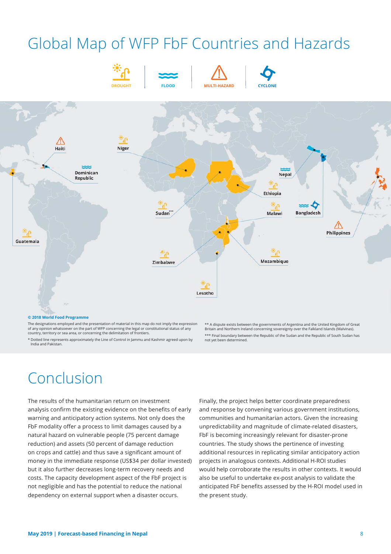## Global Map of WFP FbF Countries and Hazards



**DROUGHT FLOOD MULTI-HAZARD CYCLONE**





#### **© 2018 World Food Programme**

The designations employed and the presentation of material in this map do not imply the expression of any opinion whatsoever on the part of WFP concerning the legal or constitutional status of any country, territory or sea area, or concerning the delimitation of frontiers.

\*\* A dispute exists between the governments of Argentina and the United Kingdom of Great Britain and Northern Ireland concerning sovereignty over the Falkland Islands (Malvinas). \*\*\* Final boundary between the Republic of the Sudan and the Republic of South Sudan has not yet been determined.

\* Dotted line represents approximately the Line of Control in Jammu and Kashmir agreed upon by India and Pakistan.

## Conclusion

The results of the humanitarian return on investment analysis confirm the existing evidence on the benefits of early warning and anticipatory action systems. Not only does the FbF modality offer a process to limit damages caused by a natural hazard on vulnerable people (75 percent damage reduction) and assets (50 percent of damage reduction on crops and cattle) and thus save a significant amount of money in the immediate response (US\$34 per dollar invested) but it also further decreases long-term recovery needs and costs. The capacity development aspect of the FbF project is not negligible and has the potential to reduce the national dependency on external support when a disaster occurs.

Finally, the project helps better coordinate preparedness and response by convening various government institutions, communities and humanitarian actors. Given the increasing unpredictability and magnitude of climate-related disasters, FbF is becoming increasingly relevant for disaster-prone countries. The study shows the pertinence of investing additional resources in replicating similar anticipatory action projects in analogous contexts. Additional H-ROI studies would help corroborate the results in other contexts. It would also be useful to undertake ex-post analysis to validate the anticipated FbF benefits assessed by the H-ROI model used in the present study.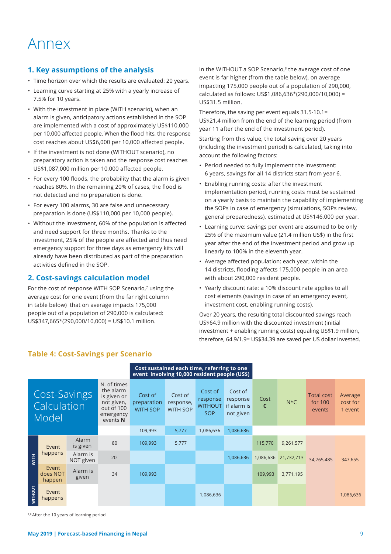## Annex

#### **1. Key assumptions of the analysis**

- Time horizon over which the results are evaluated: 20 years.
- Learning curve starting at 25% with a yearly increase of 7.5% for 10 years.
- With the investment in place (WITH scenario), when an alarm is given, anticipatory actions established in the SOP are implemented with a cost of approximately US\$110,000 per 10,000 affected people. When the flood hits, the response cost reaches about US\$6,000 per 10,000 affected people.
- If the investment is not done (WITHOUT scenario), no preparatory action is taken and the response cost reaches US\$1,087,000 million per 10,000 affected people.
- For every 100 floods, the probability that the alarm is given reaches 80%. In the remaining 20% of cases, the flood is not detected and no preparation is done.
- For every 100 alarms, 30 are false and unnecessary preparation is done (US\$110,000 per 10,000 people).
- Without the investment, 60% of the population is affected and need support for three months. Thanks to the investment, 25% of the people are affected and thus need emergency support for three days as emergency kits will already have been distributed as part of the preparation activities defined in the SOP.

#### **2. Cost-savings calculation model**

For the cost of response WITH SOP Scenario,7 using the average cost for one event (from the far right column in table below) that on average impacts 175,000 people out of a population of 290,000 is calculated: US\$347,665\*(290,000/10,000) = US\$10.1 million.

In the WITHOUT a SOP Scenario,<sup>8</sup> the average cost of one event is far higher (from the table below), on average impacting 175,000 people out of a population of 290,000, calculated as follows: US\$1,086,636\*(290,000/10,000) = US\$31.5 million.

Therefore, the saving per event equals 31.5-10.1= US\$21.4 million from the end of the learning period (from year 11 after the end of the investment period).

Starting from this value, the total saving over 20 years (including the investment period) is calculated, taking into account the following factors:

- Period needed to fully implement the investment: 6 years, savings for all 14 districts start from year 6.
- Enabling running costs: after the investment implementation period, running costs must be sustained on a yearly basis to maintain the capability of implementing the SOPs in case of emergency (simulations, SOPs review, general preparedness), estimated at US\$146,000 per year.
- Learning curve: savings per event are assumed to be only 25% of the maximum value (21.4 million US\$) in the first year after the end of the investment period and grow up linearly to 100% in the eleventh year.
- Average affected population: each year, within the 14 districts, flooding affects 175,000 people in an area with about 290,000 resident people.
- Yearly discount rate: a 10% discount rate applies to all cost elements (savings in case of an emergency event, investment cost, enabling running costs).

Over 20 years, the resulting total discounted savings reach US\$64.9 million with the discounted investment (initial investment + enabling running costs) equaling US\$1.9 million, therefore, 64.9/1.9= US\$34.39 are saved per US dollar invested.

|                                      |                             |                                                                                              |                                           | Cost sustained each time, referring to one<br>event involving 10,000 resident people (US\$) |                                                     |                                                 |                      |         |                                          |                                |           |
|--------------------------------------|-----------------------------|----------------------------------------------------------------------------------------------|-------------------------------------------|---------------------------------------------------------------------------------------------|-----------------------------------------------------|-------------------------------------------------|----------------------|---------|------------------------------------------|--------------------------------|-----------|
| Cost-Savings<br>Calculation<br>Model |                             | N. of times<br>the alarm<br>is given or<br>not given,<br>out of 100<br>emergency<br>events N | Cost of<br>preparation<br><b>WITH SOP</b> | Cost of<br>response,<br><b>WITH SOP</b>                                                     | Cost of<br>response<br><b>WITHOUT</b><br><b>SOP</b> | Cost of<br>response<br>if alarm is<br>not given | Cost<br>$\mathsf{C}$ | $N*C$   | <b>Total cost</b><br>for $100$<br>events | Average<br>cost for<br>1 event |           |
|                                      |                             |                                                                                              | 109,993                                   | 5,777                                                                                       | 1,086,636                                           | 1,086,636                                       |                      |         |                                          |                                |           |
|                                      | Event                       | Alarm<br>is given                                                                            | 80                                        | 109,993                                                                                     | 5,777                                               |                                                 |                      | 115,770 | 9,261,577                                |                                |           |
| <b>WITH</b>                          | happens                     | Alarm is<br>NOT given                                                                        | 20                                        |                                                                                             |                                                     |                                                 | 1,086,636            |         | 1,086,636 21,732,713                     | 34,765,485                     | 347,655   |
|                                      | Event<br>does NOT<br>happen | Alarm is<br>given                                                                            | 34                                        | 109,993                                                                                     |                                                     |                                                 |                      | 109,993 | 3,771,195                                |                                |           |
| <b>WITHOUT</b>                       | Event<br>happens            |                                                                                              |                                           |                                                                                             |                                                     | 1,086,636                                       |                      |         |                                          |                                | 1,086,636 |

#### **Table 4: Cost-Savings per Scenario**

7,8 After the 10 years of learning period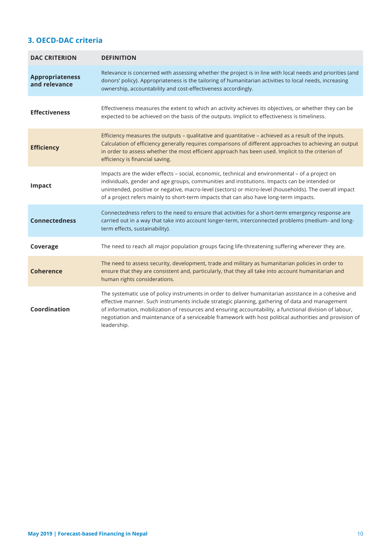### **3. OECD-DAC criteria**

| <b>DAC CRITERION</b>                    | <b>DEFINITION</b>                                                                                                                                                                                                                                                                                                                                                                                                                              |
|-----------------------------------------|------------------------------------------------------------------------------------------------------------------------------------------------------------------------------------------------------------------------------------------------------------------------------------------------------------------------------------------------------------------------------------------------------------------------------------------------|
| <b>Appropriateness</b><br>and relevance | Relevance is concerned with assessing whether the project is in line with local needs and priorities (and<br>donors' policy). Appropriateness is the tailoring of humanitarian activities to local needs, increasing<br>ownership, accountability and cost-effectiveness accordingly.                                                                                                                                                          |
| <b>Effectiveness</b>                    | Effectiveness measures the extent to which an activity achieves its objectives, or whether they can be<br>expected to be achieved on the basis of the outputs. Implicit to effectiveness is timeliness.                                                                                                                                                                                                                                        |
| <b>Efficiency</b>                       | Efficiency measures the outputs - qualitative and quantitative - achieved as a result of the inputs.<br>Calculation of efficiency generally requires comparisons of different approaches to achieving an output<br>in order to assess whether the most efficient approach has been used. Implicit to the criterion of<br>efficiency is financial saving.                                                                                       |
| <b>Impact</b>                           | Impacts are the wider effects - social, economic, technical and environmental - of a project on<br>individuals, gender and age groups, communities and institutions. Impacts can be intended or<br>unintended, positive or negative, macro-level (sectors) or micro-level (households). The overall impact<br>of a project refers mainly to short-term impacts that can also have long-term impacts.                                           |
| <b>Connectedness</b>                    | Connectedness refers to the need to ensure that activities for a short-term emergency response are<br>carried out in a way that take into account longer-term, interconnected problems (medium- and long-<br>term effects, sustainability).                                                                                                                                                                                                    |
| Coverage                                | The need to reach all major population groups facing life-threatening suffering wherever they are.                                                                                                                                                                                                                                                                                                                                             |
| <b>Coherence</b>                        | The need to assess security, development, trade and military as humanitarian policies in order to<br>ensure that they are consistent and, particularly, that they all take into account humanitarian and<br>human rights considerations.                                                                                                                                                                                                       |
| Coordination                            | The systematic use of policy instruments in order to deliver humanitarian assistance in a cohesive and<br>effective manner. Such instruments include strategic planning, gathering of data and management<br>of information, mobilization of resources and ensuring accountability, a functional division of labour,<br>negotiation and maintenance of a serviceable framework with host political authorities and provision of<br>leadership. |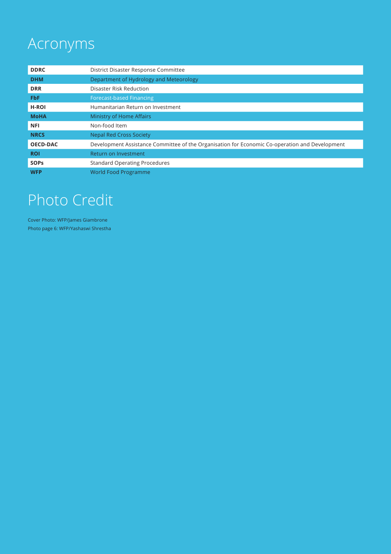# Acronyms

| <b>DDRC</b>     | District Disaster Response Committee                                                           |
|-----------------|------------------------------------------------------------------------------------------------|
| <b>DHM</b>      | Department of Hydrology and Meteorology                                                        |
| <b>DRR</b>      | Disaster Risk Reduction                                                                        |
| <b>FbF</b>      | <b>Forecast-based Financing</b>                                                                |
| <b>H-ROI</b>    | Humanitarian Return on Investment                                                              |
| <b>MoHA</b>     | Ministry of Home Affairs                                                                       |
| <b>NFI</b>      | Non-food Item                                                                                  |
| <b>NRCS</b>     | <b>Nepal Red Cross Society</b>                                                                 |
| <b>OECD-DAC</b> | Development Assistance Committee of the Organisation for Economic Co-operation and Development |
| <b>ROI</b>      | Return on Investment                                                                           |
| <b>SOPS</b>     | <b>Standard Operating Procedures</b>                                                           |
| <b>WFP</b>      | <b>World Food Programme</b>                                                                    |

# Photo Credit

Cover Photo: WFP/James Giambrone Photo page 6: WFP/Yashaswi Shrestha